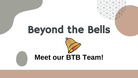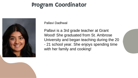## Program Coordinator



Pallavi Dadhwal

Pallavi is a 3rd grade teacher at Grant Wood! She graduated from St. Ambrose University and began teaching during the 20 - 21 school year. She enjoys spending time with her family and cooking!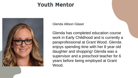### Youth Mentor



Glenda Allison Glaser

Glenda has completed education course work in Early Childhood and is currently a paraprofessional at Grant Wood. Glenda enjoys spending time with her 8 year old daughter and shopping! Glenda was a supervisor and a preschool teacher for 6 years before being employed at Grant Wood.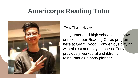## **Americorps Reading Tutor**



-Tony Thanh Nguyen

Tony graduated high school and is now enrolled in our Reading Corps program here at Grant Wood. Tony enjoys playing with his cat and playing chess! Tony has previously worked at a children's restaurant as a party planner.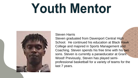# **Youth Mentor**



#### Steven Harris

Steven graduated from Davenport Central High School. He continued his education at Black Hawk College and majored in Sports Management and Coaching. Steven spends his free time with his two sons. Steven is currently a paraeducator at Grant Wood! Previously, Steven has played semiprofessional basketball for a variety of teams for the last 7 years.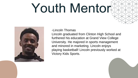# Youth Mentor



#### -Lincoln Thomas

Lincoln graduated from Clinton High School and furthered his education at Grand View College University. He majored in sports management and minored in marketing. Lincoln enjoys playing basketball! Lincoln previously worked at Victory Kids Sports.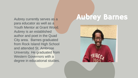para educator as well as a Youth Mentor at Grant Wood. Aubrey is an established author and poet in the Quad City area. Barnes graduated from Rock Island High School and attended St. Ambrose University. He graduated from Western Governors with a degree in educational studies.

## Aubrey currently serves as a **Aubrey Barnes**

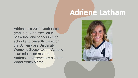## Adriene Latham

Adriene is a 2021 North Scott graduate. She excelled in basketball and soccer in high school and currently plays for the St. Ambrose University Women's Soccer team. Adriene is an education major at Ambrose and serves as a Grant Wood Youth Mentor.